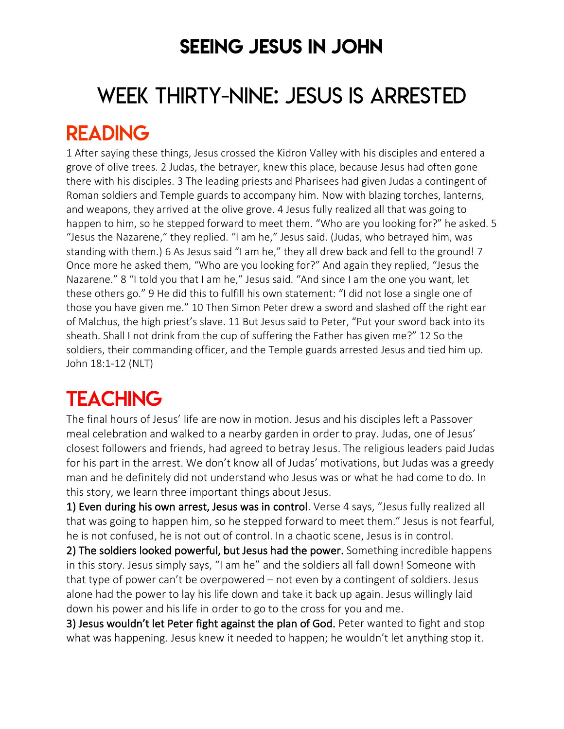### SEEING JESUS IN JOHN

# WEEK THIRTY-NINE: JESUS IS ARRESTED READING

1 After saying these things, Jesus crossed the Kidron Valley with his disciples and entered a grove of olive trees. 2 Judas, the betrayer, knew this place, because Jesus had often gone there with his disciples. 3 The leading priests and Pharisees had given Judas a contingent of Roman soldiers and Temple guards to accompany him. Now with blazing torches, lanterns, and weapons, they arrived at the olive grove. 4 Jesus fully realized all that was going to happen to him, so he stepped forward to meet them. "Who are you looking for?" he asked. 5 "Jesus the Nazarene," they replied. "I am he," Jesus said. (Judas, who betrayed him, was standing with them.) 6 As Jesus said "I am he," they all drew back and fell to the ground! 7 Once more he asked them, "Who are you looking for?" And again they replied, "Jesus the Nazarene." 8 "I told you that I am he," Jesus said. "And since I am the one you want, let these others go." 9 He did this to fulfill his own statement: "I did not lose a single one of those you have given me." 10 Then Simon Peter drew a sword and slashed off the right ear of Malchus, the high priest's slave. 11 But Jesus said to Peter, "Put your sword back into its sheath. Shall I not drink from the cup of suffering the Father has given me?" 12 So the soldiers, their commanding officer, and the Temple guards arrested Jesus and tied him up. John 18:1-12 (NLT)

## **TEACHING**

The final hours of Jesus' life are now in motion. Jesus and his disciples left a Passover meal celebration and walked to a nearby garden in order to pray. Judas, one of Jesus' closest followers and friends, had agreed to betray Jesus. The religious leaders paid Judas for his part in the arrest. We don't know all of Judas' motivations, but Judas was a greedy man and he definitely did not understand who Jesus was or what he had come to do. In this story, we learn three important things about Jesus.

1) Even during his own arrest, Jesus was in control. Verse 4 says, "Jesus fully realized all that was going to happen him, so he stepped forward to meet them." Jesus is not fearful, he is not confused, he is not out of control. In a chaotic scene, Jesus is in control.

2) The soldiers looked powerful, but Jesus had the power. Something incredible happens in this story. Jesus simply says, "I am he" and the soldiers all fall down! Someone with that type of power can't be overpowered – not even by a contingent of soldiers. Jesus alone had the power to lay his life down and take it back up again. Jesus willingly laid down his power and his life in order to go to the cross for you and me.

3) Jesus wouldn't let Peter fight against the plan of God. Peter wanted to fight and stop what was happening. Jesus knew it needed to happen; he wouldn't let anything stop it.